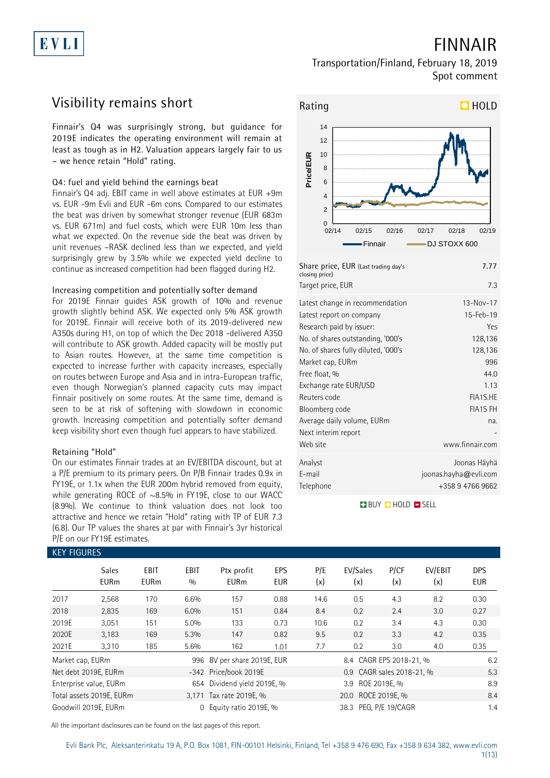# EVLI

# **FINNAIR**

### **Transportation/Finland, February 18, 2019 Spot comment**

## **Visibility remains short**

**Finnair's Q4 was surprisingly strong, but guidance for 2019E indicates the operating environment will remain at least as tough as in H2. Valuation appears largely fair to us – we hence retain "Hold" rating.**

### **Q4: fuel and yield behind the earnings beat**

Finnair's Q4 adj. EBIT came in well above estimates at EUR +9m vs. EUR -9m Evli and EUR -6m cons. Compared to our estimates the beat was driven by somewhat stronger revenue (EUR 683m vs. EUR 671m) and fuel costs, which were EUR 10m less than what we expected. On the revenue side the beat was driven by unit revenues –RASK declined less than we expected, and yield surprisingly grew by 3.5% while we expected yield decline to continue as increased competition had been flagged during H2.

### **Increasing competition and potentially softer demand**

For 2019E Finnair guides ASK growth of 10% and revenue growth slightly behind ASK. We expected only 5% ASK growth for 2019E. Finnair will receive both of its 2019-delivered new A350s during H1, on top of which the Dec 2018 -delivered A350 will contribute to ASK growth. Added capacity will be mostly put to Asian routes. However, at the same time competition is expected to increase further with capacity increases, especially on routes between Europe and Asia and in intra-European traffic, even though Norwegian's planned capacity cuts may impact Finnair positively on some routes. At the same time, demand is seen to be at risk of softening with slowdown in economic growth. Increasing competition and potentially softer demand keep visibility short even though fuel appears to have stabilized.

### **Retaining "Hold"**

On our estimates Finnair trades at an EV/EBITDA discount, but at a P/E premium to its primary peers. On P/B Finnair trades 0.9x in FY19E, or 1.1x when the EUR 200m hybrid removed from equity, while generating ROCE of ~8.5% in FY19E, close to our WACC (8.9%). We continue to think valuation does not look too attractive and hence we retain "Hold" rating with TP of EUR 7.3 (6.8). Our TP values the shares at par with Finnair's 3yr historical P/E on our FY19E estimates.



| Share price, EUR (Last trading day's<br>closing price) | 7.77                  |
|--------------------------------------------------------|-----------------------|
| Target price, EUR                                      | 7.3                   |
| Latest change in recommendation                        | 13-Nov-17             |
| Latest report on company                               | 15-Feb-19             |
| Research paid by issuer:                               | Yes                   |
| No. of shares outstanding, '000's                      | 128,136               |
| No. of shares fully diluted, '000's                    | 128,136               |
| Market cap, EURm                                       | 996                   |
| Free float, %                                          | 44.0                  |
| Exchange rate EUR/USD                                  | 1.13                  |
| Reuters code                                           | FIA1S.HE              |
| Bloomberg code                                         | <b>FIA1S FH</b>       |
| Average daily volume, EURm                             | na.                   |
| Next interim report                                    |                       |
| Web site                                               | www.finnair.com       |
| Analyst                                                | Joonas Häyhä          |
| E-mail                                                 | joonas.hayha@evli.com |
| Telephone                                              | +358 9 4766 9662      |

**BUY O HOLD O SELL** 

| <b>KEY FIGURES</b> |                             |                     |             |                             |                   |            |                           |             |                |                          |
|--------------------|-----------------------------|---------------------|-------------|-----------------------------|-------------------|------------|---------------------------|-------------|----------------|--------------------------|
|                    | <b>Sales</b><br><b>EURm</b> | EBIT<br><b>EURm</b> | EBIT<br>0/0 | Ptx profit<br><b>EURm</b>   | EPS<br><b>EUR</b> | P/E<br>(x) | EV/Sales<br>(x)           | P/CF<br>(x) | EV/EBIT<br>(x) | <b>DPS</b><br><b>EUR</b> |
| 2017               | 2,568                       | 170                 | 6.6%        | 157                         | 0.88              | 14.6       | 0.5                       | 4.3         | 8.2            | 0.30                     |
| 2018               | 2,835                       | 169                 | 6.0%        | 151                         | 0.84              | 8.4        | 0.2                       | 2.4         | 3.0            | 0.27                     |
| 2019E              | 3,051                       | 151                 | $5.0\%$     | 133                         | 0.73              | 10.6       | 0.2                       | 3.4         | 4.3            | 0.30                     |
| 2020E              | 3,183                       | 169                 | 5.3%        | 147                         | 0.82              | 9.5        | 0.2                       | 3.3         | 4.2            | 0.35                     |
| 2021E              | 3,310                       | 185                 | 5.6%        | 162                         | 1.01              | 7.7        | 0.2                       | 3.0         | 4.0            | 0.35                     |
| Market cap, EURm   |                             |                     |             | 996 BV per share 2019E, EUR |                   |            | 8.4 CAGR EPS 2018-21, %   |             |                | 6.2                      |
|                    | Net debt 2019E, EURm        |                     |             | -342 Price/book 2019E       |                   |            | 0.9 CAGR sales 2018-21, % |             |                | 5.3                      |
|                    | Enterprise value, EURm      |                     |             | 654 Dividend yield 2019E, % |                   |            | 3.9 ROE 2019E. %          |             |                | 8.9                      |
|                    | Total assets 2019E, EURm    |                     |             | 3,171 Tax rate 2019E, %     |                   |            | 20.0 ROCE 2019E, %        |             |                | 8.4                      |
|                    | Goodwill 2019E. EURm        |                     | $\Omega$    | Equity ratio 2019E, %       |                   |            | 38.3 PEG. P/E 19/CAGR     |             |                | 1.4                      |

All the important disclosures can be found on the last pages of this report.

#### Evli Bank Plc, Aleksanterinkatu 19 A, P.O. Box 1081, FIN-00101 Helsinki, Finland, Tel +358 9 476 690, Fax +358 9 634 382, [www.evli.com](http://www.evli.com/) 1(13)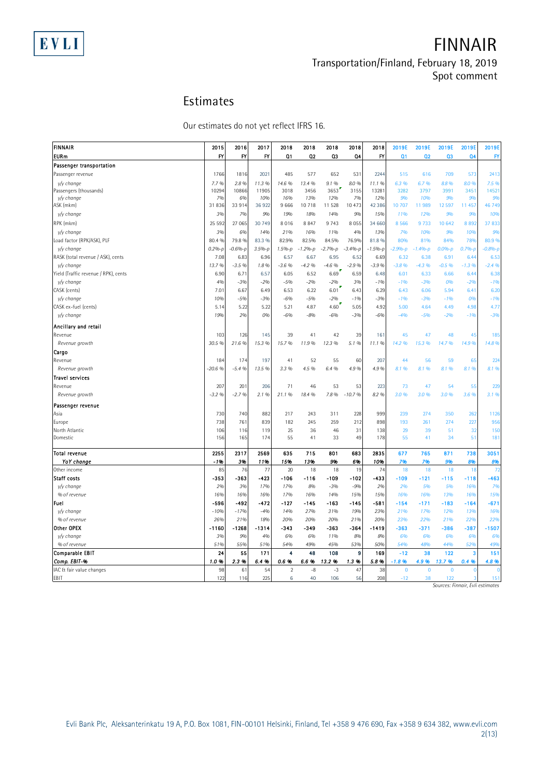# **FINNAIR Transportation/Finland, February 18, 2019 Spot comment**

## **Estimates**

|                                      | Estimates                                 |            |            |                         |            |            |                        |                   |                         |                         |                                  |                         |               |
|--------------------------------------|-------------------------------------------|------------|------------|-------------------------|------------|------------|------------------------|-------------------|-------------------------|-------------------------|----------------------------------|-------------------------|---------------|
|                                      | Our estimates do not yet reflect IFRS 16. |            |            |                         |            |            |                        |                   |                         |                         |                                  |                         |               |
|                                      |                                           |            |            |                         |            |            |                        |                   |                         |                         |                                  |                         |               |
| FINNAIR<br><b>EURm</b>               | 2015<br>FY                                | 2016<br>FY | 2017<br>FY | 2018<br>Q <sub>1</sub>  | 2018<br>02 | 2018<br>Q3 | 2018<br>Q <sub>4</sub> | 2018<br><b>FY</b> | 2019E<br>Q <sub>1</sub> | 2019E<br>Q <sub>2</sub> | 2019E<br>Q3                      | 2019E<br>Q <sub>4</sub> | 2019E<br>FY   |
| Passenger transportation             |                                           |            |            |                         |            |            |                        |                   |                         |                         |                                  |                         |               |
| Passenger revenue                    | 1766                                      | 1816       | 2021       | 485                     | 577        | 652        | 531                    | 2244              | 515                     | 616                     | 709                              | 573                     | 2413          |
| y/y change                           | 7.7%                                      | 2.8%       | 11.3 %     | 14.6 %                  | 13.4 %     | 9.1%       | 8.0%                   | 11.1%             | 6.3 %                   | 6.7%                    | 8.8%                             | 8.0 %                   | 7.5 %         |
| Passengers (thousands)               | 10294                                     | 10866      | 11905      | 3018                    | 3456       | $3653$     | 3155                   | 13281             | 3282                    | 3797                    | 3991                             | 3451                    | 14521         |
| v/v change                           | 7%                                        | 6%         | 10%        | 16%                     | 13%        | 12%        | 7%                     | 12%               | 9%                      | 10%                     | 9%                               | 9%                      | 9%            |
| ASK (mkm)                            | 31836                                     | 33 914     | 36 922     | 9666                    | 10718      | 11 528     | 10 473                 | 42 3 8 6          | 10 707                  | 11989                   | 12597                            | 11 457                  | 46 749        |
| y/y change                           | 3%                                        | 7%         | 9%         | 19%                     | 18%        | 14%        | 9%                     | 15%               | 11%                     | 12%                     | 9%                               | 9%                      | <b>10%</b>    |
| RPK (mkm)                            | 25 5 9 2                                  | 27 065     | 30 749     | 8016                    | 8847       | 9 7 4 3    | 8 0 5 5                | 34 660            | 8 5 6 6                 | 9733                    | 10 642                           | 8892                    | 37833         |
| y/y change                           | 3%                                        | 6%         | 14%        | 21%                     | 16%        | 11%        | 4%                     | 13%               | 7%                      | 10%                     | 9%                               | 10%                     | <b>9%</b>     |
| Load factor (RPK/ASK), PLF           | 80.4 %                                    | 79.8 %     | 83.3 %     | 82.9%                   | 82.5%      | 84.5%      | 76.9%                  | 81.8%             | 80%                     | 81%                     | 84%                              | 78%                     | 80.9%         |
| y/y change                           | $0.2%-p$                                  | $-0.6%-p$  | $3.5% - p$ | 1.5%-р                  | $-1.2%-p$  | $-2.7%-p$  | $-3.4%-p$              | $-1.5% - p$       | $-2.9%-p$               | $-1.4%-p$               | $0.0%-p$                         | $0.7%-p$                | $-0.8% - \mu$ |
| RASK (total revenue / ASK), cents    | 7.08                                      | 6.83       | 6.96       | 6.57                    | 6.67       | 6.95       | 6.52                   | 6.69              | 6.32                    | 6.38                    | 6.91                             | 6.44                    | 6.53          |
| y/y change                           | 13.7%                                     | $-3.5%$    | 1.8%       | $-3.6%$                 | $-4.2%$    | $-4.6%$    | $-2.9%$                | $-3.9%$           | $-3.8%$                 | $-4.3%$                 | $-0.5%$                          | $-1.3\%$                | $-2.4%$       |
| Yield (Traffic revenue / RPK), cents | 6.90                                      | 6.71       | 6.57       | 6.05                    | 6.52       | 6.69       | 6.59                   | 6.48              | 6.01                    | 6.33                    | 6.66                             | 6.44                    | 6.38          |
| y/y change                           | 4%                                        | $-3%$      | $-2%$      | $-5%$                   | $-2%$      | $-2%$      | 3%                     | $-1%$             | $-196$                  | $-3%$                   | 0%                               | $-2%$                   | $-1%$         |
| CASK (cents)                         | 7.01                                      | 6.67       | 6.49       | 6.53                    | 6.22       | 6.01       | 6.43                   | 6.29              | 6.43                    | 6.06                    | 5.94                             | 6.41                    | 6.20          |
| y/y change                           | 10%                                       | $-5%$      | $-3%$      | $-6%$                   | $-5%$      | $-2%$      | $-1%$                  | $-3%$             | $-1%$                   | $-3%$                   | $-1%$                            | 0%                      | $-1%$         |
| CASK ex-fuel (cents)                 | 5.14                                      | 5.22<br>2% | 5.22       | 5.21                    | 4.87       | 4.60       | 5.05                   | 4.92              | 5.00                    | 4.64                    | 4.49                             | 4.98                    | 4.77          |
| y/y change                           | 19%                                       |            | 0%         | $-6%$                   | $-8%$      | -6%        | $-3%$                  | $-6%$             | $-4%$                   | $-5%$                   | $-2%$                            | -1%                     | $-3%$         |
| Ancillary and retail                 |                                           |            |            |                         |            |            |                        |                   |                         |                         |                                  |                         |               |
| Revenue                              | 103                                       | 126        | 145        | 39                      | 41         | 42         | 39                     | 161               | 45                      | 47                      | 48                               | 45                      | 185           |
| Revenue growth                       | 30.5 %                                    | 21.6%      | 15.3 %     | 15.7%                   | 11.9%      | 12.3 %     | 5.1%                   | 11.1%             | 14.2 %                  | 15.3 %                  | 14.7%                            | 14.9%                   | 14.8%         |
| Cargo                                |                                           |            |            |                         |            |            |                        |                   |                         |                         |                                  |                         |               |
| Revenue                              | 184                                       | 174        | 197        | 41                      | 52         | 55         | 60                     | 207               | 44                      | 56                      | 59                               | 65                      | 224           |
| Revenue growth                       | $-20.6%$                                  | $-5.4%$    | 13.5 %     | 3.3 %                   | 4.5 %      | 6.4 %      | 4.9%                   | 4.9%              | 8.1%                    | 8.1%                    | 8.1%                             | 8.1%                    | 8.1 %         |
| <b>Travel services</b>               |                                           |            |            |                         |            |            |                        |                   |                         |                         |                                  |                         |               |
| Revenue                              | 207                                       | 201        | 206        | 71                      | 46         | 53         | 53                     | 223               | 73                      | 47                      | 54                               | 55                      | 229           |
| Revenue growth                       | $-3.2%$                                   | $-2.7%$    | 2.1 %      | 21.1%                   | 18.4 %     | 7.8%       | $-10.7%$               | 8.2 %             | 3.0%                    | 3.0%                    | 3.0%                             | 3.6%                    | 3.1%          |
| Passenger revenue                    |                                           |            |            |                         |            |            |                        |                   |                         |                         |                                  |                         |               |
| Asia                                 | 730                                       | 740        | 882        | 217                     | 243        | 311        | 228                    | 999               | 239                     | 274                     | 350                              | 262                     | 1126          |
| Europe                               | 738                                       | 761        | 839        | 182                     | 245        | 259        | 212                    | 898               | 193                     | 261                     | 274                              | 227                     | 956           |
| North Atlantic                       | 106                                       | 116        | 119        | 25                      | 36         | 46         | 31                     | 138               | 29                      | 39                      | 51                               | 32                      | 150           |
| Domestic                             | 156                                       | 165        | 174        | 55                      | 41         | 33         | 49                     | 178               | 55                      | 41                      | 34                               | 51                      | 181           |
| Total revenue                        | 2255                                      | 2317       | 2569       | 635                     | 715        | 801        | 683                    | 2835              | 677                     | 765                     | 871                              | 738                     | 3051          |
| YoY change                           | $-196$                                    | 3%         | 11%        | 15%                     | 13%        | 9%         | 6%                     | 10%               | 7%                      | 7%                      | 9%                               | 8%                      | 8%            |
| Other income                         | 85                                        | 76         | 77         | 20                      | 18         | 18         | 19                     | 74                | 18                      | 18                      | 18                               | 18                      | 72            |
| Staff costs                          | -353                                      | -363       | $-423$     | -106                    | $-116$     | -109       | $-102$                 | -433              | $-109$                  | $-121$                  | $-115$                           | $-118$                  | -463          |
| y/y change                           | 2%                                        | 3%         | 17%        | 17%                     | 8%         | $-3%$      | $-9%$                  | 2%                | 2%                      | 5%                      | 5%                               | 16%                     | 7%            |
| % of revenue                         | 16%                                       | 16%        | 16%        | 17%                     | 16%        | 14%        | 15%                    | 15%               | 16%                     | 16%                     | 13%                              | 16%                     | 15%           |
| Fuel                                 | -596                                      | $-492$     | $-472$     | $-127$                  | $-145$     | $-163$     | $-145$                 | -581              | $-154$                  | $-171$                  | $-183$                           | $-164$                  | $-671$        |
| y/y change                           | $-10%$                                    | $-17%$     | $-4%$      | 14%                     | 27%        | 31%        | 19%                    | 23%               | 21%                     | 17%                     | 12%                              | 13%                     | 16%           |
| % of revenue                         | 26%                                       | 21%        | 18%        | 20%                     | 20%        | 20%        | 21%                    | 20%               | 23%                     | 22%                     | 21%                              | 22%                     | 22%           |
| Other OPEX                           | $-1160$                                   | $-1268$    | $-1314$    | -343                    | $-349$     | -363       | $-364$                 | $-1419$           | $-363$                  | $-371$                  | $-386$                           | $-387$                  | $-1507$       |
| y/y change                           | 3%                                        | 9%         | 4%         | 6%                      | 6%         | 11%        | 8%                     | 8%                | 6%                      | 6%                      | 6%                               | 6%                      | 6%            |
| % of revenue                         | 51%                                       | 55%        | 51%        | 54%                     | 49%        | 45%        | 53%                    | 50%               | 54%                     | 48%                     | 44%                              | 52%                     | 49%           |
| Comparable EBIT                      | 24                                        | 55         | 171        | 4                       | 48         | 108        | 9                      | 169               | $-12$                   | 38                      | 122                              | 3                       | 151           |
| Comp. EBIT-%                         | 1.0%                                      | 2.3%       | 6.4%       | 0.6 %                   | 6.6%       | 13.2 %     | 1.3%                   | 5.8 %             | $-1.8%$                 | 4.9 %                   | 13.7%                            | 0.4%                    | 4.8 %         |
| IAC & fair value changes             | 98                                        | 61         | 54         | $\overline{\mathbf{c}}$ | $-8$       | $-3$       | 47                     | 38                | $\mathbf 0$             | $\pmb{0}$               | $\bf{0}$                         |                         | C             |
| EBIT                                 | 122                                       | 116        | 225        | 6                       | 40         | 106        | 56                     | 208               | $-12$                   | 38                      | 122                              |                         | 151           |
|                                      |                                           |            |            |                         |            |            |                        |                   |                         |                         | Sources: Finnair, Evli estimates |                         |               |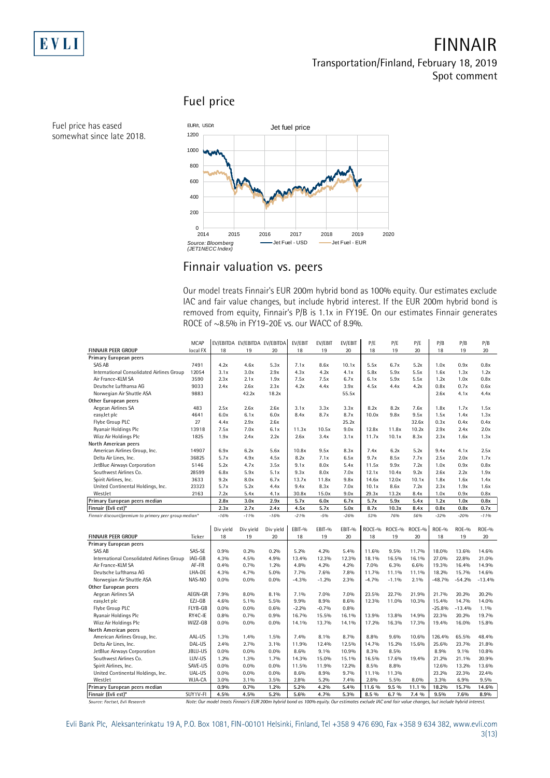

# **FINNAIR Transportation/Finland, February 18, 2019 Spot comment**

# **Fuel price**



### **Finnair valuation vs. peers**

Our model treats Finnair's EUR 200m hybrid bond as 100% equity. Our estimates exclude IAC and fair value changes, but include hybrid interest. If the EUR 200m hybrid bond is ROCE of ~8.5% in FY19-20E vs. our WACC of 8.9%.

|                                                        |             | removed from equity, Finnair's P/B is 1.1x in FY19E. On our estimates Finnair generates |                               |           |         |         |         |         |         |        |              |              |              |
|--------------------------------------------------------|-------------|-----------------------------------------------------------------------------------------|-------------------------------|-----------|---------|---------|---------|---------|---------|--------|--------------|--------------|--------------|
|                                                        |             | ROCE of ~8.5% in FY19-20E vs. our WACC of 8.9%.                                         |                               |           |         |         |         |         |         |        |              |              |              |
|                                                        |             |                                                                                         |                               |           |         |         |         |         |         |        |              |              |              |
|                                                        |             |                                                                                         |                               |           |         |         |         |         |         |        |              |              |              |
|                                                        | <b>MCAP</b> |                                                                                         | EV/EBITDA EV/EBITDA EV/EBITDA |           | EV/EBIT | EV/EBIT | EV/EBIT | P/E     | P/E     | P/E    | P/B          | P/B          | P/B          |
| <b>FINNAIR PEER GROUP</b>                              | local FX    | 18                                                                                      | 19                            | 20        | 18      | 19      | 20      | 18      | 19      | 20     | 18           | 19           | 20           |
| Primary European peers                                 |             |                                                                                         |                               |           |         |         |         |         |         |        |              |              |              |
| <b>SAS AB</b>                                          | 7491        | 4.2x                                                                                    | 4.6x                          | 5.3x      | 7.1x    | 8.6x    | 10.1x   | 5.5x    | 6.7x    | 5.2x   | 1.0x         | 0.9x         | 0.8x         |
| International Consolidated Airlines Group              | 12054       | 3.1x                                                                                    | 3.0x                          | 2.9x      | 4.3x    | 4.2x    | 4.1x    | 5.8x    | 5.9x    | 5.5x   | 1.6x         | 1.3x         | 1.2x         |
| Air France-KLM SA                                      | 3590        | 2.3x                                                                                    | 2.1x                          | 1.9x      | 7.5x    | 7.5x    | 6.7x    | 6.1x    | 5.9x    | 5.5x   | 1.2x         | 1.0x         | 0.8x         |
| Deutsche Lufthansa AG                                  | 9033        | 2.4x                                                                                    | 2.6x                          | 2.3x      | 4.2x    | 4.4x    | 3.9x    | 4.5x    | 4.4x    | 4.2x   | 0.8x         | 0.7x         | 0.6x         |
| Norwegian Air Shuttle ASA                              | 9883        |                                                                                         | 42.2x                         | 18.2x     |         |         | 55.5x   |         |         |        | 2.6x         | 4.1x         | 4.4x         |
| Other European peers                                   |             |                                                                                         |                               |           |         |         |         |         |         |        |              |              |              |
| Aegean Airlines SA                                     | 483         | 2.5x                                                                                    | 2.6x                          | 2.6x      | 3.1x    | 3.3x    | 3.3x    | 8.2x    | 8.2x    | 7.6x   | 1.8x         | 1.7x         | 1.5x         |
| easyJet plc                                            | 4641        | 6.0x                                                                                    | 6.1x                          | 6.0x      | 8.4x    | 8.7x    | 8.7x    | 10.0x   | 9.8x    | 9.5x   | 1.5x         | 1.4x         | 1.3x         |
| Flybe Group PLC                                        | 27          | 4.4x                                                                                    | 2.9x                          | 2.6x      |         |         | 25.2x   |         |         | 32.6x  | 0.3x         | 0.4x         | 0.4x         |
| Ryanair Holdings Plc                                   | 13918       | 7.5x                                                                                    | 7.0x                          | 6.1x      | 11.3x   | 10.5x   | 9.0x    | 12.8x   | 11.8x   | 10.2x  | 2.9x         | 2.4x         | 2.0x         |
| Wizz Air Holdings Plc                                  | 1825        | 1.9x                                                                                    | 2.4x                          | 2.2x      | 2.6x    | 3.4x    | 3.1x    | 11.7x   | 10.1x   | 8.3x   | 2.3x         | 1.6x         | 1.3x         |
| North American peers                                   |             |                                                                                         |                               |           |         |         |         |         |         |        |              |              |              |
| American Airlines Group, Inc.                          | 14907       | 6.9x                                                                                    | 6.2x                          | 5.6x      | 10.8x   | 9.5x    | 8.3x    | 7.4x    | 6.2x    | 5.2x   | 9.4x         | 4.1x         | 2.5x         |
| Delta Air Lines, Inc.                                  | 36825       | 5.7x                                                                                    | 4.9x                          | 4.5x      | 8.2x    | 7.1x    | 6.5x    | 9.7x    | 8.5x    | 7.7x   | 2.5x         | 2.0x         | 1.7x         |
| JetBlue Airways Corporation                            | 5146        | 5.2x                                                                                    | 4.7x                          | 3.5x      | 9.1x    | 8.0x    | 5.4x    | 11.5x   | 9.9x    | 7.2x   | 1.0x         | 0.9x         | 0.8x         |
| Southwest Airlines Co.                                 | 28599       | 6.8x                                                                                    | 5.9x                          | 5.1x      | 9.3x    | 8.0x    | 7.0x    | 12.1x   | 10.4x   | 9.2x   | 2.6x         | 2.2x         | 1.9x         |
| Spirit Airlines, Inc.                                  | 3633        | 9.2x                                                                                    | 8.0x                          | 6.7x      | 13.7x   | 11.8x   | 9.8x    | 14.6x   | 12.0x   | 10.1x  | 1.8x         | 1.6x         | 1.4x         |
| United Continental Holdings, Inc.                      | 23323       | 5.7x                                                                                    | 5.2x                          | 4.4x      | 9.4x    | 8.3x    | 7.0x    | 10.1x   | 8.6x    | 7.2x   | 2.3x         | 1.9x         | 1.6x         |
| WestJet                                                | 2163        | 7.2x                                                                                    | 5.4x                          | 4.1x      | 30.8x   | 15.0x   | 9.0x    | 29.3x   | 13.2x   | 8.4x   | 1.0x         | 0.9x         | 0.8x         |
| Primary European peers median                          |             | 2.8x                                                                                    | 3.0x                          | 2.9x      | 5.7x    | 6.0x    | 6.7x    | 5.7x    | 5.9x    | 5.4x   | 1.2x         | 1.0x         | 0.8x         |
|                                                        |             |                                                                                         |                               |           |         |         |         |         |         |        |              |              |              |
| Finnair (Evli est)*                                    |             | 2.3x                                                                                    | 2.7x                          | 2.4x      | 4.5x    | 5.7x    | 5.0x    | 8.7x    | 10.3x   | 8.4x   | 0.8x         | 0.8x         | 0.7x         |
| Finnair discount/premium to primary peer group median* |             | $-16%$                                                                                  | $-1196$                       | $-16%$    | $-2196$ | $-5%$   | $-26%$  | 53%     | 76%     | 56%    | $-32%$       | $-20%$       | $-1196$      |
|                                                        |             |                                                                                         |                               |           |         |         |         |         |         |        |              |              |              |
|                                                        |             | Div yield                                                                               | Div yield                     | Div yield | EBIT-%  | EBIT-%  | EBIT-%  | ROCE-%  | ROCE-%  | ROCE-% | <b>ROE-%</b> | <b>ROE-%</b> | <b>ROE-%</b> |
| <b>FINNAIR PEER GROUP</b>                              | Ticker      | 18                                                                                      | 19                            | 20        | 18      | 19      | 20      | 18      | 19      | 20     | 18           | 19           | 20           |
| Primary European peers                                 |             |                                                                                         |                               |           |         |         |         |         |         |        |              |              |              |
| SAS AB                                                 | SAS-SE      | 0.9%                                                                                    | 0.2%                          | 0.2%      | 5.2%    | 4.2%    | 5.4%    | 11.6%   | 9.5%    | 11.7%  | 18.0%        | 13.6%        | 14.6%        |
| International Consolidated Airlines Group              | IAG-GB      | 4.3%                                                                                    | 4.5%                          | 4.9%      | 13.4%   | 12.3%   | 12.3%   | 18.1%   | 16.5%   | 16.1%  | 27.0%        | 22.8%        | 21.0%        |
| Air France-KLM SA                                      | AF-FR       | 0.4%                                                                                    | 0.7%                          | 1.2%      | 4.8%    | 4.2%    | 4.2%    | 7.0%    | 6.3%    | 6.6%   | 19.3%        | 16.4%        | 14.9%        |
| Deutsche Lufthansa AG                                  | LHA-DE      | 4.3%                                                                                    | 4.7%                          | 5.0%      | 7.7%    | 7.6%    | 7.8%    | 11.7%   | 11.1%   | 11.1%  | 18.2%        | 15.7%        | 14.6%        |
| Norwegian Air Shuttle ASA                              | NAS-NO      | 0.0%                                                                                    | $0.0\%$                       | 0.0%      | $-4.3%$ | $-1.2%$ | 2.3%    | $-4.7%$ | $-1.1%$ | 2.1%   | $-48.7%$     | $-54.2%$     | $-13.4%$     |
| Other European peers                                   |             |                                                                                         |                               |           |         |         |         |         |         |        |              |              |              |
| Aegean Airlines SA                                     | AEGN-GR     | 7.9%                                                                                    | 8.0%                          | 8.1%      | 7.1%    | 7.0%    | 7.0%    | 23.5%   | 22.7%   | 21.9%  | 21.7%        | 20.2%        | 20.2%        |
| easyJet plc                                            | EZJ-GB      | 4.6%                                                                                    | 5.1%                          | 5.5%      | 9.9%    | 8.9%    | 8.6%    | 12.3%   | 11.0%   | 10.3%  | 15.4%        | 14.7%        | 14.0%        |
| Flybe Group PLC                                        | FLYB-GB     | 0.0%                                                                                    | $0.0\%$                       | 0.6%      | $-2.2%$ | $-0.7%$ | 0.8%    |         |         |        | $-25.8%$     | $-13.4%$     | 1.1%         |
| Ryanair Holdings Plc                                   | RY4C-IE     | 0.8%                                                                                    | 0.7%                          | 0.9%      | 16.7%   | 15.5%   | 16.1%   | 13.9%   | 13.8%   | 14.9%  | 22.3%        | 20.2%        | 19.7%        |
| Wizz Air Holdings Plc                                  | WIZZ-GB     | 0.0%                                                                                    | $0.0\%$                       | $0.0\%$   | 14.1%   | 13.7%   | 14.1%   | 17.2%   | 16.3%   | 17.3%  | 19.4%        | 16.0%        | 15.8%        |
| North American peers                                   |             |                                                                                         |                               |           |         |         |         |         |         |        |              |              |              |
| American Airlines Group, Inc.                          | AAL-US      | 1.3%                                                                                    | 1.4%                          | 1.5%      | 7.4%    | 8.1%    | 8.7%    | 8.8%    | 9.6%    | 10.6%  | 126.4%       | 65.5%        | 48.4%        |
| Delta Air Lines, Inc.                                  | DAL-US      | 2.4%                                                                                    | 2.7%                          | 3.1%      | 11.9%   | 12.4%   | 12.5%   | 14.7%   | 15.2%   | 15.6%  | 25.6%        | 23.7%        | 21.8%        |
| JetBlue Airways Corporation                            | JBLU-US     | 0.0%                                                                                    | $0.0\%$                       | $0.0\%$   | 8.6%    | 9.1%    | 10.9%   | 8.3%    | 8.5%    |        | 8.9%         | 9.1%         | 10.8%        |
| Southwest Airlines Co.                                 | LUV-US      | 1.2%                                                                                    | 1.3%                          | 1.7%      | 14.3%   | 15.0%   | 15.1%   | 16.5%   | 17.6%   | 19.4%  | 21.2%        | 21.1%        | 20.9%        |
| Spirit Airlines, Inc.                                  | SAVE-US     | 0.0%                                                                                    | $0.0\%$                       | 0.0%      | 11.5%   | 11.9%   | 12.2%   | 8.5%    | 8.8%    |        | 12.6%        | 13.2%        | 13.6%        |
| United Continental Holdings, Inc.                      | UAL-US      | 0.0%                                                                                    | $0.0\%$                       | $0.0\%$   | 8.6%    | 8.9%    | 9.7%    | 11.1%   | 11.3%   |        | 23.2%        | 22.3%        | 22.4%        |
| WestJet                                                | WJA-CA      | 3.0%                                                                                    | 3.1%                          | 3.5%      | 2.8%    | 5.2%    | 7.4%    | 2.8%    | 5.5%    | 8.0%   | 3.3%         | 6.9%         | 9.5%         |
| Primary European peers median<br>Finnair (Evli est)*   | SUY1V-FI    | 0.9%                                                                                    | 0.7%                          | 1.2%      | 5.2%    | 4.2%    | 5.4%    | 11.6 %  | 9.5 %   | 11.1 % | 18.2%        | 15.7%        | 14.6%        |

*Source: Factset, Evli Research Note: Our model treats Finnair's EUR 200m hybrid bond as 100% equity. Our estimates exclude IAC and fair value changes, but include hybrid interest.*

Evli Bank Plc, Aleksanterinkatu 19 A, P.O. Box 1081, FIN-00101 Helsinki, Finland, Tel +358 9 476 690, Fax +358 9 634 382, [www.evli.com](http://www.evli.com/)

Fuel price has eased somewhat since late 2018.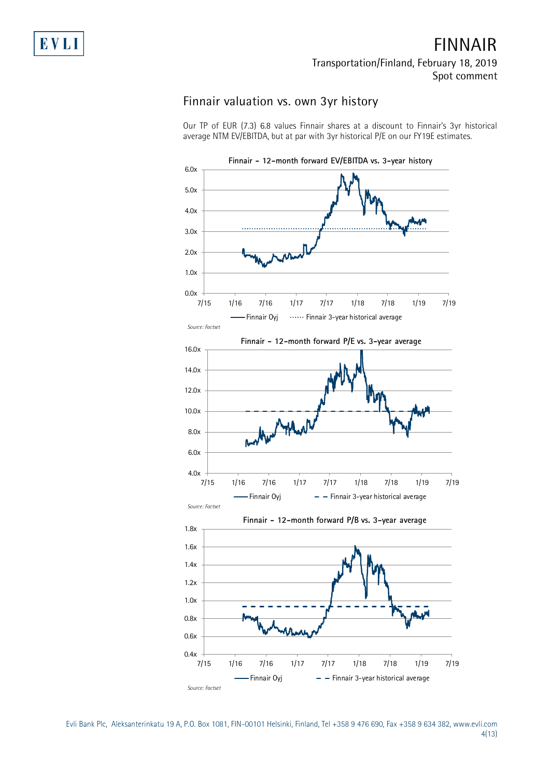# **FINNAIR Transportation/Finland, February 18, 2019 Spot comment**

# **Finnair valuation vs. own 3yr history**

Our TP of EUR (7.3) 6.8 values Finnair shares at a discount to Finnair's 3yr historical average NTM EV/EBITDA, but at par with 3yr historical P/E on our FY19E estimates.



Evli Bank Plc, Aleksanterinkatu 19 A, P.O. Box 1081, FIN-00101 Helsinki, Finland, Tel +358 9 476 690, Fax +358 9 634 382, [www.evli.com](http://www.evli.com/) 4(13)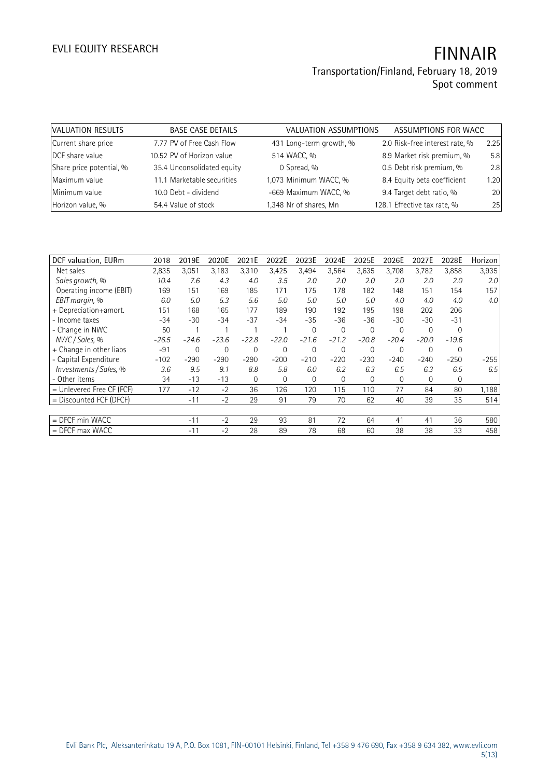| VALUATION RESULTS        | <b>BASE CASE DETAILS</b>   | VALUATION ASSUMPTIONS   | ASSUMPTIONS FOR WACC           |      |
|--------------------------|----------------------------|-------------------------|--------------------------------|------|
| Current share price      | 7.77 PV of Free Cash Flow  | 431 Long-term growth, % | 2.0 Risk-free interest rate, % | 2.25 |
| DCF share value          | 10.52 PV of Horizon value  | 514 WACC, %             | 8.9 Market risk premium, %     | 5.8  |
| Share price potential, % | 35.4 Unconsolidated equity | 0 Spread, %             | 0.5 Debt risk premium, %       | 2.8  |
| Maximum value            | 11.1 Marketable securities | 1,073 Minimum WACC, %   | 8.4 Equity beta coefficient    | 1.20 |
| Minimum value            | 10.0 Debt - dividend       | -669 Maximum WACC, %    | 9.4 Target debt ratio, %       | 20   |
| Horizon value, %         | 54.4 Value of stock        | 1,348 Nr of shares, Mn  | 128.1 Effective tax rate, %    | 25   |

| DCF valuation, EURm       | 2018    | 2019E       | 2020E       | 2021E   | 2022E    | 2023E        | 2024E    | 2025E       | 2026E       | 2027E    | 2028E       | Horizon |
|---------------------------|---------|-------------|-------------|---------|----------|--------------|----------|-------------|-------------|----------|-------------|---------|
| Net sales                 | 2,835   | 3,051       | 3,183       | 3,310   | 3,425    | 3,494        | 3,564    | 3,635       | 3,708       | 3,782    | 3,858       | 3,935   |
| Sales growth, %           | 10.4    | 7.6         | 4.3         | 4.0     | 3.5      | 2.0          | 2.0      | 2.0         | 2.0         | 2.0      | 2.0         | 2.0     |
| Operating income (EBIT)   | 169     | 151         | 169         | 185     | 171      | 175          | 178      | 182         | 148         | 151      | 154         | 157     |
| EBIT margin, %            | 6.0     | 5.0         | 5.3         | 5.6     | 5.0      | 5.0          | 5.0      | 5.0         | 4.0         | 4.0      | 4.0         | 4.0     |
| + Depreciation+amort.     | 151     | 168         | 165         | 177     | 189      | 190          | 192      | 195         | 198         | 202      | 206         |         |
| - Income taxes            | $-34$   | $-30$       | $-34$       | $-37$   | $-34$    | $-35$        | $-36$    | $-36$       | $-30$       | -30      | $-31$       |         |
| - Change in NWC           | 50      |             |             |         |          | $\Omega$     | $\Omega$ | $\Omega$    | $\mathbf 0$ | $\Omega$ | $\Omega$    |         |
| NWC / Sales, %            | $-26.5$ | $-24.6$     | $-23.6$     | $-22.8$ | $-22.0$  | $-21.6$      | $-21.2$  | $-20.8$     | $-20.4$     | $-20.0$  | $-19.6$     |         |
| + Change in other liabs   | $-91$   | $\mathbf 0$ | $\mathbf 0$ | 0       | $\Omega$ | $\mathbf{0}$ | 0        | $\mathbf 0$ | $\mathbf 0$ | $\Omega$ | $\mathbf 0$ |         |
| - Capital Expenditure     | $-102$  | $-290$      | $-290$      | $-290$  | $-200$   | $-210$       | $-220$   | $-230$      | $-240$      | $-240$   | $-250$      | $-255$  |
| Investments / Sales, %    | 3.6     | 9.5         | 9.1         | 8.8     | 5.8      | 6.0          | 6.2      | 6.3         | 6.5         | 6.3      | 6.5         | 6.5     |
| - Other items             | 34      | $-13$       | $-13$       | 0       | $\Omega$ | $\Omega$     | $\Omega$ | $\Omega$    | $\Omega$    | $\Omega$ | $\mathbf 0$ |         |
| = Unlevered Free CF (FCF) | 177     | $-12$       | $-2$        | 36      | 126      | 120          | 115      | 110         | 77          | 84       | 80          | 1,188   |
| = Discounted FCF (DFCF)   |         | $-11$       | $-2$        | 29      | 91       | 79           | 70       | 62          | 40          | 39       | 35          | 514     |
|                           |         |             |             |         |          |              |          |             |             |          |             |         |
| $=$ DFCF min WACC         |         | $-11$       | $-2$        | 29      | 93       | 81           | 72       | 64          | 41          | 41       | 36          | 580     |
| $=$ DFCF max WACC         |         | $-11$       | $-2$        | 28      | 89       | 78           | 68       | 60          | 38          | 38       | 33          | 458     |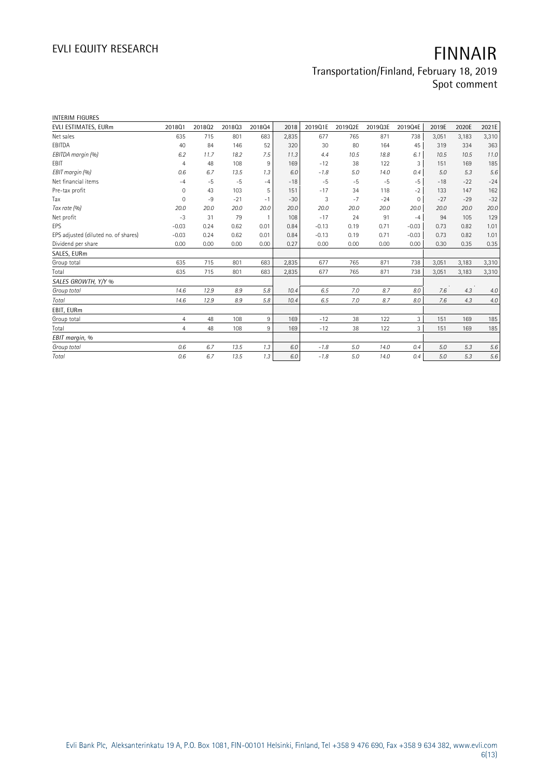| <b>INTERIM FIGURES</b>               |                |        |        |        |       |         |         |         |             |       |       |         |
|--------------------------------------|----------------|--------|--------|--------|-------|---------|---------|---------|-------------|-------|-------|---------|
| EVLI ESTIMATES, EURm                 | 201801         | 201802 | 201803 | 201804 | 2018  | 2019Q1E | 2019Q2E | 2019Q3E | 2019Q4E     | 2019E | 2020E | 2021E   |
| Net sales                            | 635            | 715    | 801    | 683    | 2,835 | 677     | 765     | 871     | 738         | 3,051 | 3,183 | 3,310   |
| EBITDA                               | 40             | 84     | 146    | 52     | 320   | 30      | 80      | 164     | 45          | 319   | 334   | 363     |
| EBITDA margin (%)                    | 6.2            | 11.7   | 18.2   | 7.5    | 11.3  | 4.4     | 10.5    | 18.8    | 6.1         | 10.5  | 10.5  | 11.0    |
| <b>EBIT</b>                          | $\overline{4}$ | 48     | 108    | 9      | 169   | $-12$   | 38      | 122     | 3           | 151   | 169   | 185     |
| EBIT margin (%)                      | 0.6            | 6.7    | 13.5   | 1.3    | 6.0   | $-1.8$  | 5.0     | 14.0    | 0.4         | 5.0   | 5.3   | 5.6     |
| Net financial items                  | $-4$           | $-5$   | $-5$   | $-4$   | $-18$ | $-5$    | $-5$    | $-5$    | $-5$        | $-18$ | $-22$ | $-24$   |
| Pre-tax profit                       | 0              | 43     | 103    | 5      | 151   | $-17$   | 34      | 118     | $-2$        | 133   | 147   | 162     |
| Tax                                  | $\mathbf 0$    | $-9$   | $-21$  | $-1$   | $-30$ | 3       | $-7$    | $-24$   | $\mathbf 0$ | $-27$ | $-29$ | $-32$   |
| Tax rate (%)                         | 20.0           | 20.0   | 20.0   | 20.0   | 20.0  | 20.0    | 20.0    | 20.0    | 20.0        | 20.0  | 20.0  | 20.0    |
| Net profit                           | $-3$           | 31     | 79     | 1      | 108   | $-17$   | 24      | 91      | $-4$        | 94    | 105   | 129     |
| <b>EPS</b>                           | $-0.03$        | 0.24   | 0.62   | 0.01   | 0.84  | $-0.13$ | 0.19    | 0.71    | $-0.03$     | 0.73  | 0.82  | 1.01    |
| EPS adjusted (diluted no. of shares) | $-0.03$        | 0.24   | 0.62   | 0.01   | 0.84  | $-0.13$ | 0.19    | 0.71    | $-0.03$     | 0.73  | 0.82  | 1.01    |
| Dividend per share                   | 0.00           | 0.00   | 0.00   | 0.00   | 0.27  | 0.00    | 0.00    | 0.00    | 0.00        | 0.30  | 0.35  | 0.35    |
| SALES, EURm                          |                |        |        |        |       |         |         |         |             |       |       |         |
| Group total                          | 635            | 715    | 801    | 683    | 2,835 | 677     | 765     | 871     | 738         | 3,051 | 3,183 | 3,310   |
| Total                                | 635            | 715    | 801    | 683    | 2,835 | 677     | 765     | 871     | 738         | 3,051 | 3,183 | 3,310   |
| SALES GROWTH, Y/Y %                  |                |        |        |        |       |         |         |         |             |       |       |         |
| Group total                          | 14.6           | 12.9   | 8.9    | 5.8    | 10.4  | 6.5     | 7.0     | 8.7     | 8.0         | 7.6   | 4.3   | 4.0     |
| Total                                | 14.6           | 12.9   | 8.9    | 5.8    | 10.4  | 6.5     | 7.0     | 8.7     | 8.0         | 7.6   | 4.3   | $4.0\,$ |
| EBIT, EURm                           |                |        |        |        |       |         |         |         |             |       |       |         |
| Group total                          | $\overline{4}$ | 48     | 108    | 9      | 169   | $-12$   | 38      | 122     | 3           | 151   | 169   | 185     |
| Total                                | $\overline{4}$ | 48     | 108    | 9      | 169   | $-12$   | 38      | 122     | 3           | 151   | 169   | 185     |
| EBIT margin, %                       |                |        |        |        |       |         |         |         |             |       |       |         |
| Group total                          | 0.6            | 6.7    | 13.5   | 1.3    | 6.0   | $-1.8$  | 5.0     | 14.0    | 0.4         | 5.0   | 5.3   | 5.6     |
| Total                                | 0.6            | 6.7    | 13.5   | 1.3    | 6.0   | $-1.8$  | 5.0     | 14.0    | 0.4         | 5.0   | 5.3   | 5.6     |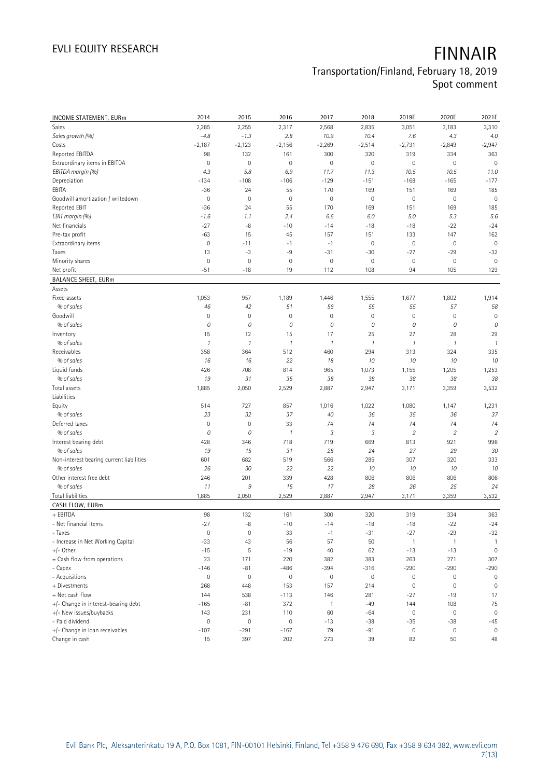| <b>INCOME STATEMENT, EURm</b>            | 2014                | 2015                | 2016                | 2017                | 2018          | 2019E                   | 2020E               | 2021E          |
|------------------------------------------|---------------------|---------------------|---------------------|---------------------|---------------|-------------------------|---------------------|----------------|
| Sales                                    | 2,285               | 2,255               | 2,317               | 2,568               | 2,835         | 3,051                   | 3,183               | 3,310          |
| Sales growth (%)                         | $-4.8$              | $-1.3$              | 2.8                 | 10.9                | 10.4          | 7.6                     | 4.3                 | 4.0            |
| Costs                                    | $-2,187$            | $-2,123$            | $-2,156$            | $-2,269$            | $-2,514$      | $-2,731$                | $-2,849$            | $-2,947$       |
| Reported EBITDA                          | 98                  | 132                 | 161                 | 300                 | 320           | 319                     | 334                 | 363            |
| Extraordinary items in EBITDA            | $\mathsf{O}\xspace$ | $\mathbf 0$         | $\mathbf 0$         | $\mathbf 0$         | $\mathbf 0$   | $\mathbf 0$             | $\mathbf 0$         | $\mathbf 0$    |
| EBITDA margin (%)                        | 4.3                 | 5.8                 | 6.9                 | 11.7                | 11.3          | 10.5                    | 10.5                | 11.0           |
| Depreciation                             | $-134$              | $-108$              | $-106$              | $-129$              | $-151$        | $-168$                  | $-165$              | $-177$         |
| EBITA                                    | $-36$               | 24                  | 55                  | 170                 | 169           | 151                     | 169                 | 185            |
| Goodwill amortization / writedown        | $\mathbf 0$         | $\mathbf 0$         | $\mathbf 0$         | $\mathbb O$         | $\mathbb O$   | $\mathbb O$             | $\mathbb O$         | $\mathbf 0$    |
| Reported EBIT                            | $-36$               | 24                  | 55                  | 170                 | 169           | 151                     | 169                 | 185            |
| EBIT margin (%)                          | $-1.6$              | 1.1                 | 2.4                 | 6.6                 | 6.0           | 5.0                     | 5.3                 | 5.6            |
| Net financials                           | $-27$               | $-8$                | $-10$               | $-14$               | $-18$         | $-18$                   | $-22$               | $-24$          |
| Pre-tax profit                           | $-63$               | 15                  | 45                  | 157                 | 151           | 133                     | 147                 | 162            |
| Extraordinary items                      | $\mathsf{O}\xspace$ | $-11$               | $-1$                | $-1$                | $\mathbf 0$   | $\mathbb O$             | $\mathbf 0$         | $\mathbf 0$    |
| Taxes                                    | 13                  | $-3$                | -9                  | $-31$               | $-30$         | $-27$                   | $-29$               | $-32$          |
| Minority shares                          | $\mathbf 0$         | $\mathbf 0$         | $\mathbf 0$         | $\mathbf 0$         | $\mathbf 0$   | $\mathbf 0$             | $\mathsf{O}\xspace$ | $\mathbf 0$    |
| Net profit                               | $-51$               | $-18$               | 19                  | 112                 | 108           | 94                      | 105                 | 129            |
| <b>BALANCE SHEET, EURm</b>               |                     |                     |                     |                     |               |                         |                     |                |
| Assets                                   |                     |                     |                     |                     |               |                         |                     |                |
| Fixed assets                             | 1,053               | 957                 | 1,189               | 1,446               | 1,555         | 1,677                   | 1,802               | 1,914          |
| % of sales                               | 46                  | 42                  | 51                  | 56                  | 55            | 55                      | 57                  | 58             |
| Goodwill                                 | $\mathbf 0$         | $\mathbf 0$         | $\mathbf 0$         | $\mathbf 0$         | $\mathbf 0$   | $\mathbf 0$             | $\mathbf 0$         | $\mathbf 0$    |
| % of sales                               | 0                   | 0                   | 0                   | 0                   | 0             | 0                       | 0                   | ${\cal O}$     |
| Inventory                                | 15                  | 12                  | 15                  | 17                  | 25            | 27                      | 28                  | 29             |
| % of sales                               | $\mathcal{I}$       | $\mathcal{I}$       | $\mathcal{I}$       | $\boldsymbol{\eta}$ | $\mathcal{I}$ | 1                       | $\mathcal{I}$       | $\mathcal{I}$  |
| Receivables                              | 358                 | 364                 | 512                 | 460                 | 294           | 313                     | 324                 | 335            |
| % of sales                               | 16                  | 16                  | 22                  | 18                  | 10            | 10                      | 10                  | 10             |
| Liquid funds                             | 426                 | 708                 | 814                 | 965                 | 1,073         | 1,155                   | 1,205               | 1,253          |
| % of sales                               | 19                  | 31                  | 35                  | 38                  | 38            | 38                      | 38                  | 38             |
| Total assets                             | 1,885               | 2,050               | 2,529               | 2,887               | 2,947         | 3,171                   | 3,359               | 3,532          |
| Liabilities                              |                     |                     |                     |                     |               |                         |                     |                |
| Equity                                   | 514                 | 727                 | 857                 | 1,016               | 1,022         | 1,080                   | 1,147               | 1,231          |
| % of sales                               | 23                  | 32                  | 37                  | 40                  | 36            | 35                      | 36                  | 37             |
| Deferred taxes                           | $\mathbf 0$         | $\mathbf 0$         | 33                  | 74                  | 74            | 74                      | 74                  | 74             |
| % of sales                               | 0                   | 0                   | $\boldsymbol{\eta}$ | 3                   | 3             | $\overline{\mathbf{2}}$ | $\sqrt{2}$          | $\overline{2}$ |
| Interest bearing debt                    | 428                 | 346                 | 718                 | 719                 | 669           | 813                     | 921                 | 996            |
| % of sales                               | 19                  | 15                  | 31                  | 28                  | 24            | 27                      | 29                  | 30             |
| Non-interest bearing current liabilities | 601                 | 682                 | 519                 | 566                 | 285           | 307                     | 320                 | 333            |
| % of sales                               | 26                  | 30                  | 22                  | 22                  | 10            | 10                      | 10                  | 10             |
| Other interest free debt                 | 246                 | 201                 | 339                 | 428                 | 806           | 806                     | 806                 | 806            |
| % of sales                               | 11                  | 9                   | 15                  | 17                  | 28            | 26                      | 25                  | 24             |
| <b>Total liabilities</b>                 | 1,885               | 2,050               | 2,529               | 2,887               | 2,947         | 3,171                   | 3,359               | 3,532          |
| CASH FLOW, EURm                          |                     |                     |                     |                     |               |                         |                     |                |
| + EBITDA                                 | 98                  | 132                 | 161                 | 300                 | 320           | 319                     | 334                 | 363            |
| - Net financial items                    | $-27$               | -8                  | $-10$               | $-14$               | $-18$         | $-18$                   | $-22$               | $-24$          |
| - Taxes                                  | 0                   | $\mathsf{O}\xspace$ | 33                  | $-1$                | $-31$         | $-27$                   | $-29$               | $-32$          |
| - Increase in Net Working Capital        | $-33$               | 43                  | 56                  | 57                  | 50            | $\mathbf{1}$            | $\overline{1}$      | $\mathbf{1}$   |
| +/- Other                                | $-15$               | $\sqrt{5}$          | $-19$               | 40                  | 62            | $-13$                   | $-13$               | $\mathbf 0$    |
| = Cash flow from operations              | 23                  | 171                 | 220                 | 382                 | 383           | 263                     | 271                 | 307            |
| - Capex                                  | $-146$              | $-81$               | $-486$              | $-394$              | $-316$        | $-290$                  | $-290$              | $-290$         |
| - Acquisitions                           | $\mathsf{O}\xspace$ | $\mathbf 0$         | $\mathsf{O}\xspace$ | $\mathbf 0$         | $\mathbb O$   | $\mathbb O$             | $\mathsf{O}\xspace$ | $\mathbf 0$    |
| + Divestments                            | 268                 | 448                 | 153                 | 157                 | 214           | $\mathbb O$             | $\mathbb O$         | $\mathbf 0$    |
| = Net cash flow                          | 144                 | 538                 | $-113$              | 146                 | 281           | $-27$                   | $-19$               | 17             |
| +/- Change in interest-bearing debt      | $-165$              | $-81$               | 372                 | $\mathbf{1}$        | $-49$         | 144                     | 108                 | 75             |
| +/- New issues/buybacks                  | 143                 | 231                 | 110                 | 60                  | $-64$         | $\mathbb O$             | $\mathbb O$         | $\mathbf 0$    |
| - Paid dividend                          | $\mathbf 0$         | $\mathbf 0$         | $\mathsf{O}\xspace$ | $-13$               | $-38$         | $-35$                   | $-38$               | $-45$          |
| +/- Change in loan receivables           | $-107$              | $-291$              | $-167$              | 79                  | $-91$         | $\mathbb O$             | $\boldsymbol{0}$    | $\mathbf 0$    |
| Change in cash                           | 15                  | 397                 | 202                 | 273                 | 39            | 82                      | 50                  | 48             |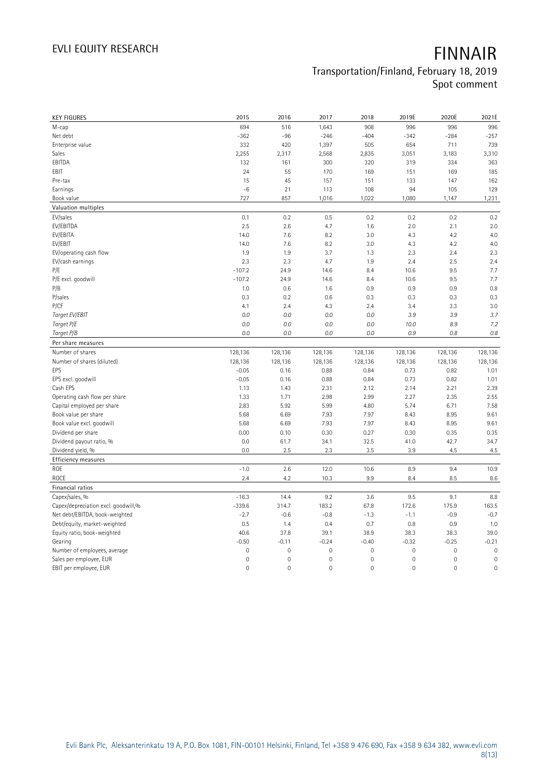| <b>KEY FIGURES</b>                  | 2015          | 2016                | 2017         | 2018                | 2019E               | 2020E        | 2021E               |
|-------------------------------------|---------------|---------------------|--------------|---------------------|---------------------|--------------|---------------------|
| M-cap                               | 694           | 516                 | 1,643        | 908                 | 996                 | 996          | 996                 |
| Net debt                            | $-362$        | $-96$               | $-246$       | $-404$              | $-342$              | $-284$       | $-257$              |
| Enterprise value                    | 332           | 420                 | 1,397        | 505                 | 654                 | 711          | 739                 |
| Sales                               | 2,255         | 2,317               | 2,568        | 2,835               | 3,051               | 3,183        | 3,310               |
| EBITDA                              | 132           | 161                 | 300          | 320                 | 319                 | 334          | 363                 |
| EBIT                                | 24            | 55                  | 170          | 169                 | 151                 | 169          | 185                 |
| Pre-tax                             | 15            | 45                  | 157          | 151                 | 133                 | 147          | 162                 |
| Earnings                            | $-6$          | 21                  | 113          | 108                 | 94                  | 105          | 129                 |
| Book value                          | 727           | 857                 | 1,016        | 1,022               | 1,080               | 1,147        | 1,231               |
| Valuation multiples                 |               |                     |              |                     |                     |              |                     |
| EV/sales                            | 0.1           | 0.2                 | 0.5          | 0.2                 | 0.2                 | 0.2          | 0.2                 |
| EV/EBITDA                           | 2.5           | 2.6                 | 4.7          | 1.6                 | 2.0                 | 2.1          | 2.0                 |
| EV/EBITA                            | 14.0          | 7.6                 | 8.2          | 3.0                 | 4.3                 | 4.2          | 4.0                 |
| EV/EBIT                             | 14.0          | 7.6                 | 8.2          | 3.0                 | 4.3                 | 4.2          | 4.0                 |
| EV/operating cash flow              | 1.9           | 1.9                 | 3.7          | 1.3                 | 2.3                 | 2.4          | 2.3                 |
| EV/cash earnings                    | 2.3           | 2.3                 | 4.7          | 1.9                 | 2.4                 | 2.5          | 2.4                 |
| P/E                                 | $-107.2$      | 24.9                | 14.6         | 8.4                 | 10.6                | 9.5          | 7.7                 |
| P/E excl. goodwill                  | $-107.2$      | 24.9                | 14.6         | 8.4                 | 10.6                | 9.5          | 7.7                 |
| P/B                                 | 1.0           | 0.6                 | 1.6          | 0.9                 | 0.9                 | 0.9          | 0.8                 |
| P/sales                             | 0.3           | 0.2                 | 0.6          | 0.3                 | 0.3                 | 0.3          | 0.3                 |
| P/CF                                | 4.1           | 2.4                 | 4.3          | 2.4                 | 3.4                 | 3.3          | 3.0                 |
| Target EV/EBIT                      | 0.0           | 0.0                 | 0.0          | 0.0                 | 3.9                 | 3.9          | 3.7                 |
| Target P/E                          | 0.0           | 0.0                 | 0.0          | 0.0                 | 10.0                | 8.9          | 7.2                 |
| Target P/B                          | 0.0           | 0.0                 | 0.0          | 0.0                 | 0.9                 | 0.8          | $0.8\,$             |
| Per share measures                  |               |                     |              |                     |                     |              |                     |
| Number of shares                    | 128,136       | 128,136             | 128,136      | 128,136             | 128,136             | 128,136      | 128,136             |
|                                     |               |                     |              |                     |                     |              |                     |
|                                     |               |                     |              |                     |                     |              |                     |
| Number of shares (diluted)          | 128,136       | 128,136             | 128,136      | 128,136             | 128,136             | 128,136      | 128,136             |
| EPS                                 | $-0.05$       | 0.16                | 0.88         | 0.84                | 0.73                | 0.82         | 1.01                |
| EPS excl. goodwill<br>Cash EPS      | $-0.05$       | 0.16                | 0.88         | 0.84<br>2.12        | 0.73                | 0.82         | 1.01                |
|                                     | 1.13          | 1.43                | 2.31         |                     | 2.14                | 2.21         | 2.39                |
| Operating cash flow per share       | 1.33          | 1.71                | 2.98         | 2.99                | 2.27                | 2.35         | 2.55                |
| Capital employed per share          | 2.83          | 5.92                | 5.99         | 4.80                | 5.74                | 6.71         | 7.58                |
| Book value per share                | 5.68<br>5.68  | 6.69<br>6.69        | 7.93<br>7.93 | 7.97<br>7.97        | 8.43<br>8.43        | 8.95<br>8.95 | 9.61<br>9.61        |
| Book value excl. goodwill           | 0.00          | 0.10                | 0.30         | 0.27                | 0.30                | 0.35         | 0.35                |
| Dividend per share                  | 0.0           |                     |              |                     | 41.0                | 42.7         |                     |
| Dividend payout ratio, %            | 0.0           | 61.7<br>2.5         | 34.1<br>2.3  | 32.5<br>3.5         | 3.9                 | 4.5          | 34.7<br>4.5         |
| Dividend yield, %                   |               |                     |              |                     |                     |              |                     |
| <b>Efficiency measures</b>          |               |                     |              |                     |                     |              |                     |
| ROE<br>ROCE                         | $-1.0$<br>2.4 | 2.6<br>4.2          | 12.0<br>10.3 | 10.6<br>9.9         | 8.9<br>8.4          | 9.4<br>8.5   | 10.9<br>8.6         |
| Financial ratios                    |               |                     |              |                     |                     |              |                     |
| Capex/sales, %                      | $-16.3$       | 14.4                | 9.2          | 3.6                 | 9.5                 | 9.1          | 8.8                 |
| Capex/depreciation excl. goodwill,% | $-339.6$      | 314.7               | 183.2        | 67.8                | 172.6               | 175.9        | 163.5               |
| Net debt/EBITDA, book-weighted      | $-2.7$        | $-0.6$              | $-0.8$       | $-1.3$              | $-1.1$              | $-0.9$       | $-0.7$              |
| Debt/equity, market-weighted        | 0.5           | 1.4                 | 0.4          | 0.7                 | 0.8                 | 0.9          | 1.0                 |
| Equity ratio, book-weighted         | 40.6          | 37.8                | 39.1         | 38.9                | 38.3                | 38.3         | 39.0                |
| Gearing                             | $-0.50$       | $-0.11$             | $-0.24$      | $-0.40$             | $-0.32$             | $-0.25$      | $-0.21$             |
| Number of employees, average        | $\mathbf 0$   | $\mathbf 0$         | $\mathbf 0$  | $\mathbf 0$         | $\mathsf{O}\xspace$ | $\mathbf 0$  | $\mathbf 0$         |
| Sales per employee, EUR             | $\mathbf 0$   | $\mathsf{O}\xspace$ | $\mathbf 0$  | $\mathbf 0$         | $\mathsf{O}\xspace$ | 0            | $\mathbf 0$         |
| EBIT per employee, EUR              | $\mathbf 0$   | $\mathsf{O}\xspace$ | $\mathbf 0$  | $\mathsf{O}\xspace$ | $\mathsf{O}\xspace$ | $\mathbf 0$  | $\mathsf{O}\xspace$ |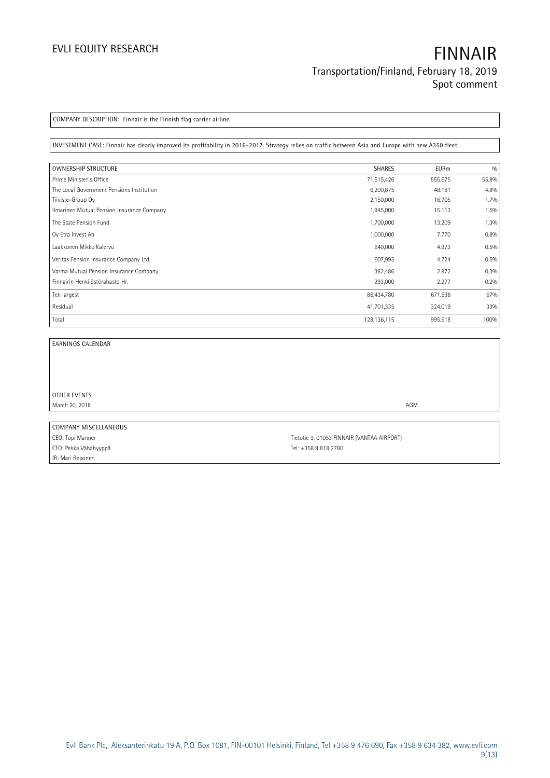# **EVLI EQUITY RESEARCH FINNAIR Transportation/Finland, February 18, 2019 Spot comment**

**COMPANY DESCRIPTION: Finnair is the Finnish flag carrier airline.**

**INVESTMENT CASE: Finnair has clearly improved its profitability in 2016-2017. Strategy relies on traffic between Asia and Europe with new A350 fleet.**

| <b>OWNERSHIP STRUCTURE</b>                 | <b>SHARES</b> | <b>EURm</b> | 0/0   |
|--------------------------------------------|---------------|-------------|-------|
| Prime Minister's Office                    | 71,515,426    | 555.675     | 55.8% |
| The Local Government Pensions Institution  | 6,200,875     | 48.181      | 4.8%  |
| Tiiviste-Group Oy                          | 2,150,000     | 16.705      | 1.7%  |
| Ilmarinen Mutual Pension Insurance Company | 1,945,000     | 15.113      | 1.5%  |
| The State Pension Fund                     | 1,700,000     | 13.209      | 1.3%  |
| Oy Etra Invest Ab                          | 1,000,000     | 7.770       | 0.8%  |
| Laakkonen Mikko Kalervo                    | 640,000       | 4.973       | 0.5%  |
| Veritas Pension Insurance Company Ltd.     | 607,993       | 4.724       | 0.5%  |
| Varma Mutual Pension Insurance Company     | 382,486       | 2.972       | 0.3%  |
| Finnairin Henkilöstörahasto Hr.            | 293,000       | 2.277       | 0.2%  |
| Ten largest                                | 86,434,780    | 671.598     | 67%   |
| Residual                                   | 41,701,335    | 324.019     | 33%   |
| Total                                      | 128, 136, 115 | 995.618     | 100%  |

i.

**EARNINGS CALENDAR**

**OTHER EVENTS** March 20, 2018 **AGM** 

**COMPANY MISCELLANEOUS** CFO: Pekka Vähähyyppä CFO: Pekka Vähähyyppä IR: Mari Reponen

CEO: Topi Manner Tietotie 9, 01053 FINNAIR (VANTAA AIRPORT)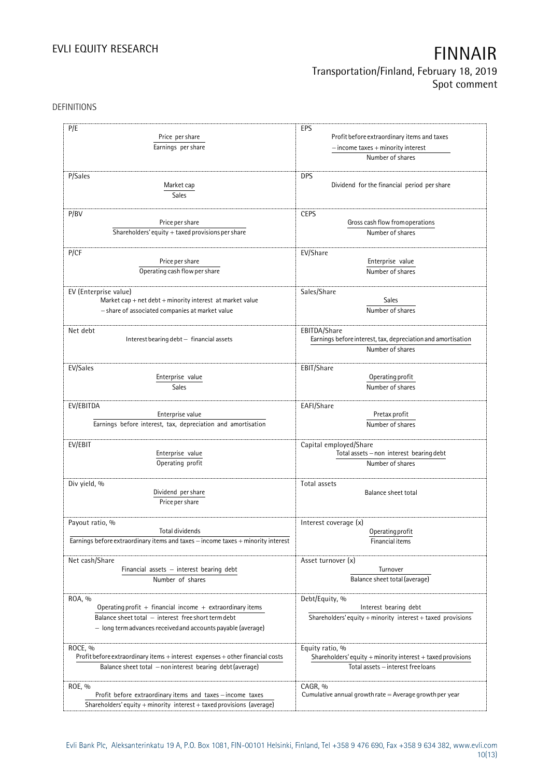# **Transportation/Finland, February 18, 2019 Spot comment**

### DEFINITIONS

| P/E<br>Price per share<br>Earnings per share                                                                                        | EPS<br>Profit before extraordinary items and taxes<br>$-$ income taxes $+$ minority interest     |
|-------------------------------------------------------------------------------------------------------------------------------------|--------------------------------------------------------------------------------------------------|
|                                                                                                                                     | Number of shares                                                                                 |
| P/Sales<br>Market cap<br><b>Sales</b>                                                                                               | <b>DPS</b><br>Dividend for the financial period per share                                        |
|                                                                                                                                     | <b>CEPS</b>                                                                                      |
| P/BV<br>Price per share                                                                                                             | Gross cash flow from operations                                                                  |
| Shareholders' equity + taxed provisions per share                                                                                   | Number of shares                                                                                 |
|                                                                                                                                     |                                                                                                  |
| P/CF<br>Price per share<br>Operating cash flow per share                                                                            | EV/Share<br>Enterprise value<br>Number of shares                                                 |
| EV (Enterprise value)                                                                                                               | Sales/Share                                                                                      |
| Market cap + net debt + minority interest at market value<br>- share of associated companies at market value                        | Sales<br>Number of shares                                                                        |
| Net debt<br>Interest bearing $debt - financial$ assets                                                                              | EBITDA/Share<br>Earnings before interest, tax, depreciation and amortisation<br>Number of shares |
| EV/Sales                                                                                                                            | EBIT/Share                                                                                       |
| Enterprise value                                                                                                                    | Operating profit                                                                                 |
| Sales                                                                                                                               | Number of shares                                                                                 |
| EV/EBITDA                                                                                                                           | EAFI/Share                                                                                       |
| Enterprise value                                                                                                                    | Pretax profit                                                                                    |
| Earnings before interest, tax, depreciation and amortisation                                                                        | Number of shares                                                                                 |
| EV/EBIT<br>Enterprise value                                                                                                         | Capital employed/Share<br>Total assets - non interest bearing debt                               |
| Operating profit                                                                                                                    | Number of shares                                                                                 |
| Div yield, %                                                                                                                        | Total assets                                                                                     |
| Dividend per share<br>Price per share                                                                                               | Balance sheet total                                                                              |
| Payout ratio, %                                                                                                                     | Interest coverage (x)                                                                            |
| Total dividends                                                                                                                     | Operating profit                                                                                 |
| Earnings before extraordinary items and taxes - income taxes + minority interest                                                    | Financial items                                                                                  |
| Net cash/Share                                                                                                                      | Asset turnover (x)                                                                               |
| Financial assets $-$ interest bearing debt                                                                                          | Turnover                                                                                         |
| Number of shares                                                                                                                    | Balance sheet total (average)                                                                    |
| ROA, %                                                                                                                              | Debt/Equity, %                                                                                   |
| Operating profit + financial income + extraordinary items                                                                           | Interest bearing debt                                                                            |
| Balance sheet total - interest free short term debt                                                                                 | Shareholders' equity $+$ minority interest $+$ taxed provisions                                  |
| - long termadvances received and accounts payable (average)                                                                         |                                                                                                  |
| ROCE, %                                                                                                                             | Equity ratio, %                                                                                  |
| Profit before extraordinary items $+$ interest expenses $+$ other financial costs                                                   | Shareholders' equity + minority interest + taxed provisions                                      |
| Balance sheet total - non interest bearing debt (average)                                                                           | Total assets - interest free loans                                                               |
| ROE, %                                                                                                                              | CAGR, %                                                                                          |
| Profit before extraordinary items and taxes - income taxes<br>Shareholders' equity + minority interest + taxed provisions (average) | Cumulative annual growth rate $=$ Average growth per year                                        |
|                                                                                                                                     |                                                                                                  |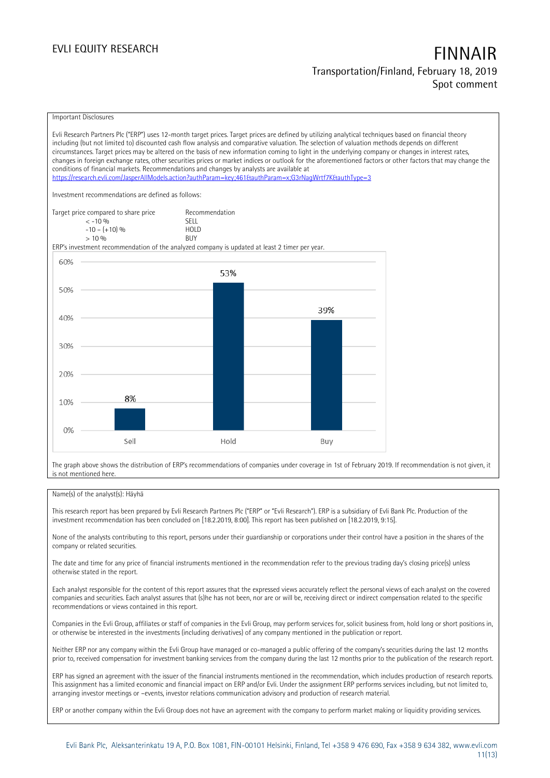# **Transportation/Finland, February 18, 2019 Spot comment**

#### Important Disclosures

Evli Research Partners Plc ("ERP") uses 12-month target prices. Target prices are defined by utilizing analytical techniques based on financial theory including (but not limited to) discounted cash flow analysis and comparative valuation. The selection of valuation methods depends on different circumstances. Target prices may be altered on the basis of new information coming to light in the underlying company or changes in interest rates, changes in foreign exchange rates, other securities prices or market indices or outlook for the aforementioned factors or other factors that may change the conditions of financial markets. Recommendations and changes by analysts are available at <https://research.evli.com/JasperAllModels.action?authParam=key;461&authParam=x;G3rNagWrtf7K&authType=3> Investment recommendations are defined as follows: Target price compared to share price Recommendation<br>  $\leq -10\%$  SELL  $\langle 5, 10, 10 \rangle$  SELL<br>  $\langle -10, 1, 10 \rangle$   $\langle 6, 10 \rangle$   $\langle 10, 10 \rangle$  $-10 - (+10) \%$  HOLD<br>> 10 % BUY  $> 10\%$ ERP's investment recommendation of the analyzed company is updated at least 2 timer per year. 60% 53% 50% 39% 40% 30% 20% 8% 10% 0% Sell Hold Buy

The graph above shows the distribution of ERP's recommendations of companies under coverage in 1st of February 2019. If recommendation is not given, it is not mentioned here.

#### Name(s) of the analyst(s): Häyhä

This research report has been prepared by Evli Research Partners Plc ("ERP" or "Evli Research"). ERP is a subsidiary of Evli Bank Plc. Production of the investment recommendation has been concluded on [18.2.2019, 8:00]. This report has been published on [18.2.2019, 9:15].

None of the analysts contributing to this report, persons under their guardianship or corporations under their control have a position in the shares of the company or related securities.

The date and time for any price of financial instruments mentioned in the recommendation refer to the previous trading day's closing price(s) unless otherwise stated in the report.

Each analyst responsible for the content of this report assures that the expressed views accurately reflect the personal views of each analyst on the covered companies and securities. Each analyst assures that (s)he has not been, nor are or will be, receiving direct or indirect compensation related to the specific recommendations or views contained in this report.

Companies in the Evli Group, affiliates or staff of companies in the Evli Group, may perform services for, solicit business from, hold long or short positions in, or otherwise be interested in the investments (including derivatives) of any company mentioned in the publication or report.

Neither ERP nor any company within the Evli Group have managed or co-managed a public offering of the company's securities during the last 12 months prior to, received compensation for investment banking services from the company during the last 12 months prior to the publication of the research report.

ERP has signed an agreement with the issuer of the financial instruments mentioned in the recommendation, which includes production of research reports. This assignment has a limited economic and financial impact on ERP and/or Evli. Under the assignment ERP performs services including, but not limited to, arranging investor meetings or –events, investor relations communication advisory and production of research material.

ERP or another company within the Evli Group does not have an agreement with the company to perform market making or liquidity providing services.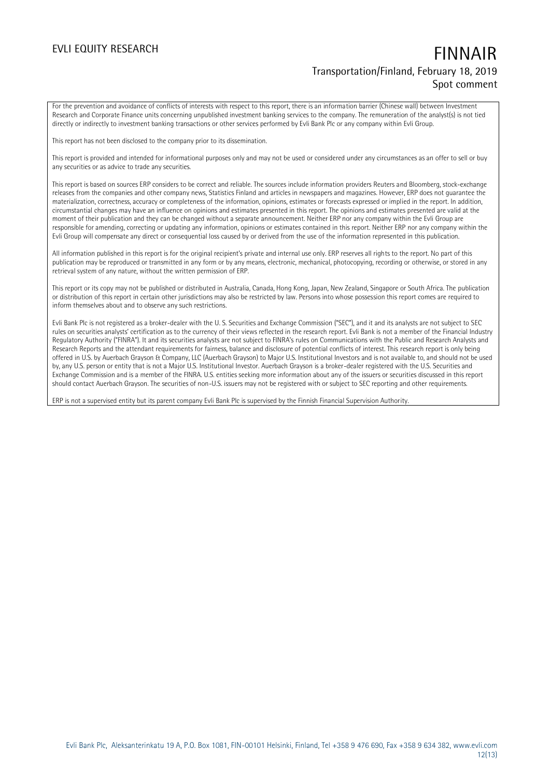## **EVLI EQUITY RESEARCH FINNAIR Transportation/Finland, February 18, 2019 Spot comment**

For the prevention and avoidance of conflicts of interests with respect to this report, there is an information barrier (Chinese wall) between Investment Research and Corporate Finance units concerning unpublished investment banking services to the company. The remuneration of the analyst(s) is not tied directly or indirectly to investment banking transactions or other services performed by Evli Bank Plc or any company within Evli Group.

This report has not been disclosed to the company prior to its dissemination.

This report is provided and intended for informational purposes only and may not be used or considered under any circumstances as an offer to sell or buy any securities or as advice to trade any securities.

This report is based on sources ERP considers to be correct and reliable. The sources include information providers Reuters and Bloomberg, stock-exchange releases from the companies and other company news, Statistics Finland and articles in newspapers and magazines. However, ERP does not guarantee the materialization, correctness, accuracy or completeness of the information, opinions, estimates or forecasts expressed or implied in the report. In addition, circumstantial changes may have an influence on opinions and estimates presented in this report. The opinions and estimates presented are valid at the moment of their publication and they can be changed without a separate announcement. Neither ERP nor any company within the Evli Group are responsible for amending, correcting or updating any information, opinions or estimates contained in this report. Neither ERP nor any company within the Evli Group will compensate any direct or consequential loss caused by or derived from the use of the information represented in this publication.

All information published in this report is for the original recipient's private and internal use only. ERP reserves all rights to the report. No part of this publication may be reproduced or transmitted in any form or by any means, electronic, mechanical, photocopying, recording or otherwise, or stored in any retrieval system of any nature, without the written permission of ERP.

This report or its copy may not be published or distributed in Australia, Canada, Hong Kong, Japan, New Zealand, Singapore or South Africa. The publication or distribution of this report in certain other jurisdictions may also be restricted by law. Persons into whose possession this report comes are required to inform themselves about and to observe any such restrictions.

Evli Bank Plc is not registered as a broker-dealer with the U. S. Securities and Exchange Commission ("SEC"), and it and its analysts are not subject to SEC rules on securities analysts' certification as to the currency of their views reflected in the research report. Evli Bank is not a member of the Financial Industry Regulatory Authority ("FINRA"). It and its securities analysts are not subject to FINRA's rules on Communications with the Public and Research Analysts and Research Reports and the attendant requirements for fairness, balance and disclosure of potential conflicts of interest. This research report is only being offered in U.S. by Auerbach Grayson & Company, LLC (Auerbach Grayson) to Major U.S. Institutional Investors and is not available to, and should not be used by, any U.S. person or entity that is not a Major U.S. Institutional Investor. Auerbach Grayson is a broker-dealer registered with the U.S. Securities and Exchange Commission and is a member of the FINRA. U.S. entities seeking more information about any of the issuers or securities discussed in this report should contact Auerbach Grayson. The securities of non-U.S. issuers may not be registered with or subject to SEC reporting and other requirements.

ERP is not a supervised entity but its parent company Evli Bank Plc is supervised by the Finnish Financial Supervision Authority.